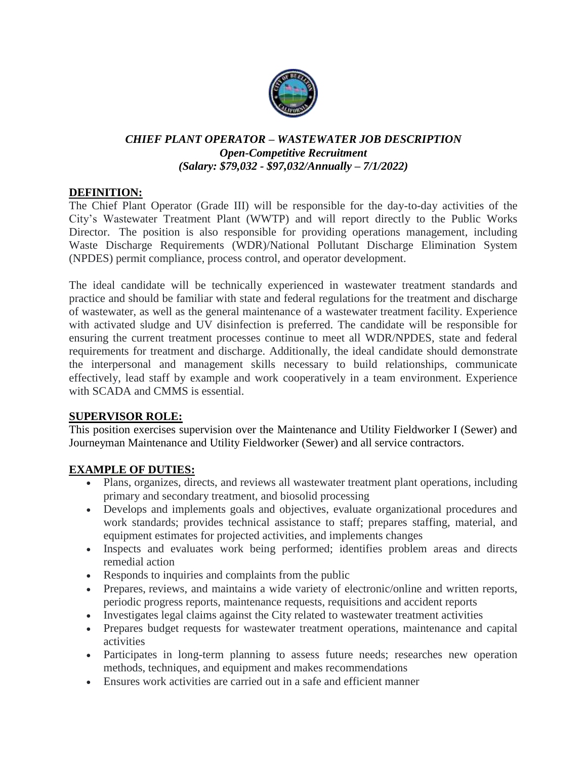

### *CHIEF PLANT OPERATOR – WASTEWATER JOB DESCRIPTION Open-Competitive Recruitment (Salary: \$79,032 - \$97,032/Annually – 7/1/2022)*

### **DEFINITION:**

The Chief Plant Operator (Grade III) will be responsible for the day-to-day activities of the City's Wastewater Treatment Plant (WWTP) and will report directly to the Public Works Director. The position is also responsible for providing operations management, including Waste Discharge Requirements (WDR)/National Pollutant Discharge Elimination System (NPDES) permit compliance, process control, and operator development.

The ideal candidate will be technically experienced in wastewater treatment standards and practice and should be familiar with state and federal regulations for the treatment and discharge of wastewater, as well as the general maintenance of a wastewater treatment facility. Experience with activated sludge and UV disinfection is preferred. The candidate will be responsible for ensuring the current treatment processes continue to meet all WDR/NPDES, state and federal requirements for treatment and discharge. Additionally, the ideal candidate should demonstrate the interpersonal and management skills necessary to build relationships, communicate effectively, lead staff by example and work cooperatively in a team environment. Experience with SCADA and CMMS is essential.

### **SUPERVISOR ROLE:**

This position exercises supervision over the Maintenance and Utility Fieldworker I (Sewer) and Journeyman Maintenance and Utility Fieldworker (Sewer) and all service contractors.

### **EXAMPLE OF DUTIES:**

- Plans, organizes, directs, and reviews all wastewater treatment plant operations, including primary and secondary treatment, and biosolid processing
- Develops and implements goals and objectives, evaluate organizational procedures and work standards; provides technical assistance to staff; prepares staffing, material, and equipment estimates for projected activities, and implements changes
- Inspects and evaluates work being performed; identifies problem areas and directs remedial action
- Responds to inquiries and complaints from the public
- Prepares, reviews, and maintains a wide variety of electronic/online and written reports, periodic progress reports, maintenance requests, requisitions and accident reports
- Investigates legal claims against the City related to wastewater treatment activities
- Prepares budget requests for wastewater treatment operations, maintenance and capital activities
- Participates in long-term planning to assess future needs; researches new operation methods, techniques, and equipment and makes recommendations
- Ensures work activities are carried out in a safe and efficient manner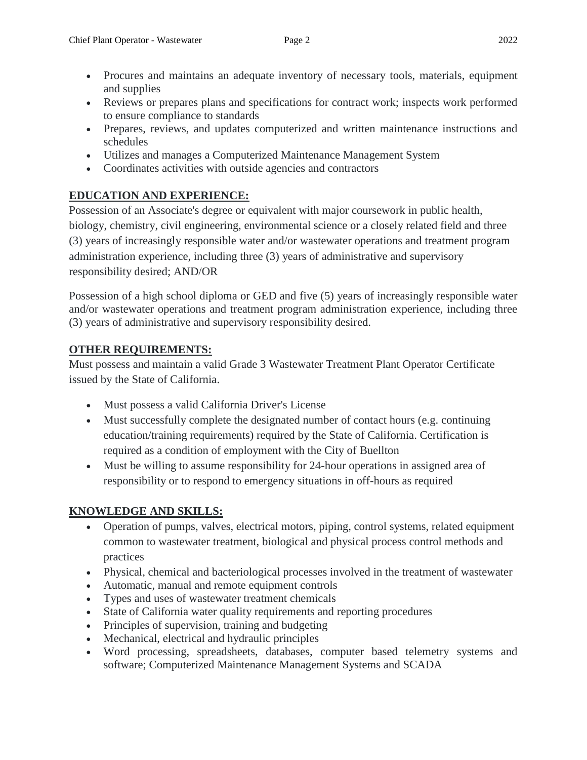- Procures and maintains an adequate inventory of necessary tools, materials, equipment and supplies
- Reviews or prepares plans and specifications for contract work; inspects work performed to ensure compliance to standards
- Prepares, reviews, and updates computerized and written maintenance instructions and schedules
- Utilizes and manages a Computerized Maintenance Management System
- Coordinates activities with outside agencies and contractors

## **EDUCATION AND EXPERIENCE:**

Possession of an Associate's degree or equivalent with major coursework in public health, biology, chemistry, civil engineering, environmental science or a closely related field and three (3) years of increasingly responsible water and/or wastewater operations and treatment program administration experience, including three (3) years of administrative and supervisory responsibility desired; AND/OR

Possession of a high school diploma or GED and five (5) years of increasingly responsible water and/or wastewater operations and treatment program administration experience, including three (3) years of administrative and supervisory responsibility desired.

## **OTHER REQUIREMENTS:**

Must possess and maintain a valid Grade 3 Wastewater Treatment Plant Operator Certificate issued by the State of California.

- Must possess a valid California Driver's License
- Must successfully complete the designated number of contact hours (e.g. continuing education/training requirements) required by the State of California. Certification is required as a condition of employment with the City of Buellton
- Must be willing to assume responsibility for 24-hour operations in assigned area of responsibility or to respond to emergency situations in off-hours as required

# **KNOWLEDGE AND SKILLS:**

- Operation of pumps, valves, electrical motors, piping, control systems, related equipment common to wastewater treatment, biological and physical process control methods and practices
- Physical, chemical and bacteriological processes involved in the treatment of wastewater
- Automatic, manual and remote equipment controls
- Types and uses of wastewater treatment chemicals
- State of California water quality requirements and reporting procedures
- Principles of supervision, training and budgeting
- Mechanical, electrical and hydraulic principles
- Word processing, spreadsheets, databases, computer based telemetry systems and software; Computerized Maintenance Management Systems and SCADA